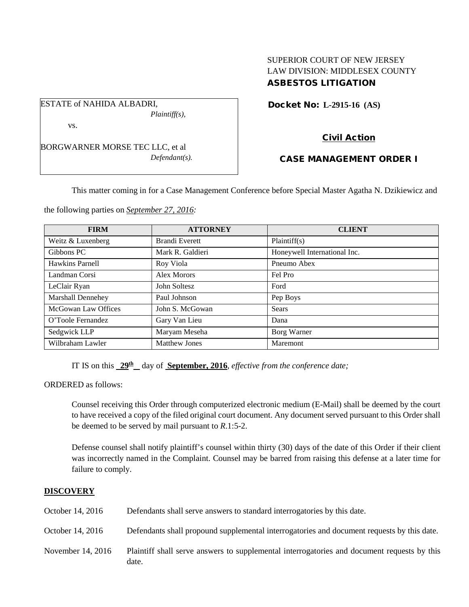# SUPERIOR COURT OF NEW JERSEY LAW DIVISION: MIDDLESEX COUNTY ASBESTOS LITIGATION

Docket No: **L-2915-16 (AS)** 

vs.

ESTATE of NAHIDA ALBADRI,

BORGWARNER MORSE TEC LLC, et al *Defendant(s).*

*Plaintiff(s),*

# Civil Action

## CASE MANAGEMENT ORDER I

This matter coming in for a Case Management Conference before Special Master Agatha N. Dzikiewicz and

the following parties on *September 27, 2016:*

| <b>FIRM</b>         | <b>ATTORNEY</b>       | <b>CLIENT</b>                |
|---------------------|-----------------------|------------------------------|
| Weitz & Luxenberg   | <b>Brandi Everett</b> | Plaintiff(s)                 |
| Gibbons PC          | Mark R. Galdieri      | Honeywell International Inc. |
| Hawkins Parnell     | Roy Viola             | Pneumo Abex                  |
| Landman Corsi       | Alex Morors           | Fel Pro                      |
| LeClair Ryan        | John Soltesz          | Ford                         |
| Marshall Dennehey   | Paul Johnson          | Pep Boys                     |
| McGowan Law Offices | John S. McGowan       | <b>Sears</b>                 |
| O'Toole Fernandez   | Gary Van Lieu         | Dana                         |
| Sedgwick LLP        | Maryam Meseha         | Borg Warner                  |
| Wilbraham Lawler    | <b>Matthew Jones</b>  | Maremont                     |

IT IS on this  $29<sup>th</sup>$  day of **September, 2016**, *effective from the conference date;* 

ORDERED as follows:

Counsel receiving this Order through computerized electronic medium (E-Mail) shall be deemed by the court to have received a copy of the filed original court document. Any document served pursuant to this Order shall be deemed to be served by mail pursuant to *R*.1:5-2.

Defense counsel shall notify plaintiff's counsel within thirty (30) days of the date of this Order if their client was incorrectly named in the Complaint. Counsel may be barred from raising this defense at a later time for failure to comply.

## **DISCOVERY**

| October 14, 2016  | Defendants shall serve answers to standard interrogatories by this date.                             |
|-------------------|------------------------------------------------------------------------------------------------------|
| October 14, 2016  | Defendants shall propound supplemental interrogatories and document requests by this date.           |
| November 14, 2016 | Plaintiff shall serve answers to supplemental interrogatories and document requests by this<br>date. |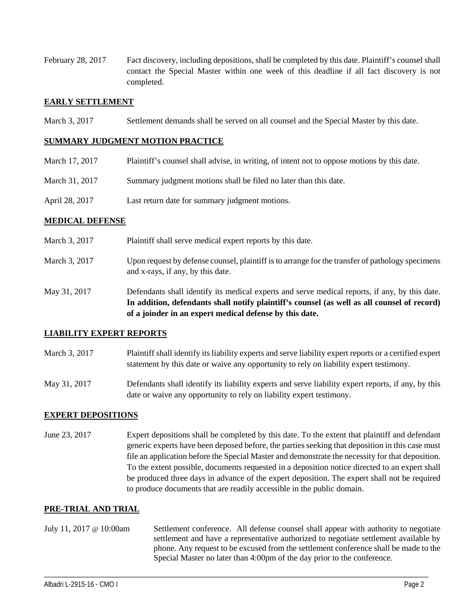February 28, 2017 Fact discovery, including depositions, shall be completed by this date. Plaintiff's counsel shall contact the Special Master within one week of this deadline if all fact discovery is not completed.

### **EARLY SETTLEMENT**

March 3, 2017 Settlement demands shall be served on all counsel and the Special Master by this date.

#### **SUMMARY JUDGMENT MOTION PRACTICE**

- March 17, 2017 Plaintiff's counsel shall advise, in writing, of intent not to oppose motions by this date.
- March 31, 2017 Summary judgment motions shall be filed no later than this date.
- April 28, 2017 Last return date for summary judgment motions.

#### **MEDICAL DEFENSE**

| March 3, 2017 | Plaintiff shall serve medical expert reports by this date.                                                                                                                                    |
|---------------|-----------------------------------------------------------------------------------------------------------------------------------------------------------------------------------------------|
| March 3, 2017 | Upon request by defense counsel, plaintiff is to arrange for the transfer of pathology specimens<br>and x-rays, if any, by this date.                                                         |
| May 31, 2017  | Defendants shall identify its medical experts and serve medical reports, if any, by this date.<br>In addition, defendants shall notify plaintiff's counsel (as well as all counsel of record) |

#### **LIABILITY EXPERT REPORTS**

March 3, 2017 Plaintiff shall identify its liability experts and serve liability expert reports or a certified expert statement by this date or waive any opportunity to rely on liability expert testimony.

**of a joinder in an expert medical defense by this date.**

May 31, 2017 Defendants shall identify its liability experts and serve liability expert reports, if any, by this date or waive any opportunity to rely on liability expert testimony.

## **EXPERT DEPOSITIONS**

June 23, 2017 Expert depositions shall be completed by this date. To the extent that plaintiff and defendant generic experts have been deposed before, the parties seeking that deposition in this case must file an application before the Special Master and demonstrate the necessity for that deposition. To the extent possible, documents requested in a deposition notice directed to an expert shall be produced three days in advance of the expert deposition. The expert shall not be required to produce documents that are readily accessible in the public domain.

## **PRE-TRIAL AND TRIAL**

July 11, 2017 @ 10:00am Settlement conference. All defense counsel shall appear with authority to negotiate settlement and have a representative authorized to negotiate settlement available by phone. Any request to be excused from the settlement conference shall be made to the Special Master no later than 4:00pm of the day prior to the conference.

\_\_\_\_\_\_\_\_\_\_\_\_\_\_\_\_\_\_\_\_\_\_\_\_\_\_\_\_\_\_\_\_\_\_\_\_\_\_\_\_\_\_\_\_\_\_\_\_\_\_\_\_\_\_\_\_\_\_\_\_\_\_\_\_\_\_\_\_\_\_\_\_\_\_\_\_\_\_\_\_\_\_\_\_\_\_\_\_\_\_\_\_\_\_\_\_\_\_\_\_\_\_\_\_\_\_\_\_\_\_